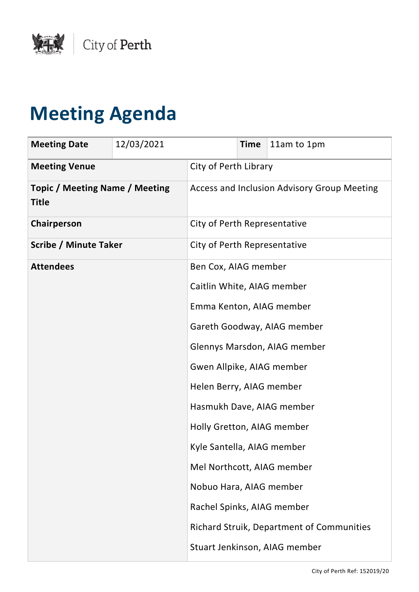

## **Meeting Agenda**

| <b>Meeting Date</b>                                   | 12/03/2021 |                                             | <b>Time</b> | 11am to 1pm                               |
|-------------------------------------------------------|------------|---------------------------------------------|-------------|-------------------------------------------|
| <b>Meeting Venue</b>                                  |            | City of Perth Library                       |             |                                           |
| <b>Topic / Meeting Name / Meeting</b><br><b>Title</b> |            | Access and Inclusion Advisory Group Meeting |             |                                           |
| Chairperson                                           |            | City of Perth Representative                |             |                                           |
| <b>Scribe / Minute Taker</b>                          |            | City of Perth Representative                |             |                                           |
| <b>Attendees</b>                                      |            | Ben Cox, AIAG member                        |             |                                           |
|                                                       |            | Caitlin White, AIAG member                  |             |                                           |
|                                                       |            | Emma Kenton, AIAG member                    |             |                                           |
|                                                       |            |                                             |             | Gareth Goodway, AIAG member               |
|                                                       |            |                                             |             | Glennys Marsdon, AIAG member              |
|                                                       |            | Gwen Allpike, AIAG member                   |             |                                           |
|                                                       |            | Helen Berry, AIAG member                    |             |                                           |
|                                                       |            |                                             |             | Hasmukh Dave, AIAG member                 |
|                                                       |            | Holly Gretton, AIAG member                  |             |                                           |
|                                                       |            | Kyle Santella, AIAG member                  |             |                                           |
|                                                       |            | Mel Northcott, AIAG member                  |             |                                           |
|                                                       |            | Nobuo Hara, AIAG member                     |             |                                           |
|                                                       |            | Rachel Spinks, AIAG member                  |             |                                           |
|                                                       |            |                                             |             | Richard Struik, Department of Communities |
|                                                       |            |                                             |             | Stuart Jenkinson, AIAG member             |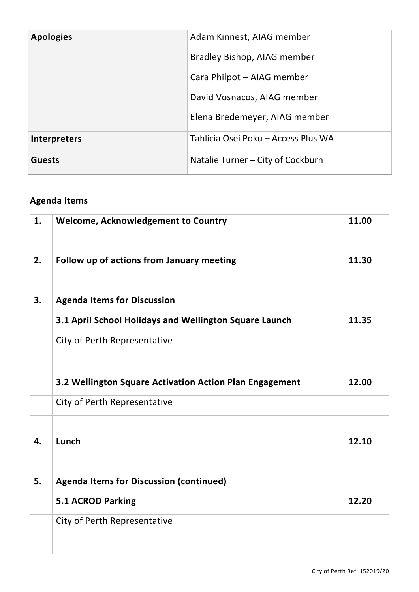| <b>Apologies</b>    | Adam Kinnest, AIAG member           |
|---------------------|-------------------------------------|
|                     | Bradley Bishop, AIAG member         |
|                     | Cara Philpot - AIAG member          |
|                     | David Vosnacos, AIAG member         |
|                     | Elena Bredemeyer, AIAG member       |
| <b>Interpreters</b> | Tahlicia Osei Poku - Access Plus WA |
| <b>Guests</b>       | Natalie Turner - City of Cockburn   |

## **Agenda Items**

| 1. | <b>Welcome, Acknowledgement to Country</b>              | 11.00 |
|----|---------------------------------------------------------|-------|
|    |                                                         |       |
| 2. | Follow up of actions from January meeting               | 11.30 |
|    |                                                         |       |
| 3. | <b>Agenda Items for Discussion</b>                      |       |
|    | 3.1 April School Holidays and Wellington Square Launch  | 11.35 |
|    | City of Perth Representative                            |       |
|    |                                                         |       |
|    | 3.2 Wellington Square Activation Action Plan Engagement | 12.00 |
|    | City of Perth Representative                            |       |
|    |                                                         |       |
| 4. | Lunch                                                   | 12.10 |
|    |                                                         |       |
| 5. | <b>Agenda Items for Discussion (continued)</b>          |       |
|    | 5.1 ACROD Parking                                       | 12.20 |
|    | City of Perth Representative                            |       |
|    |                                                         |       |